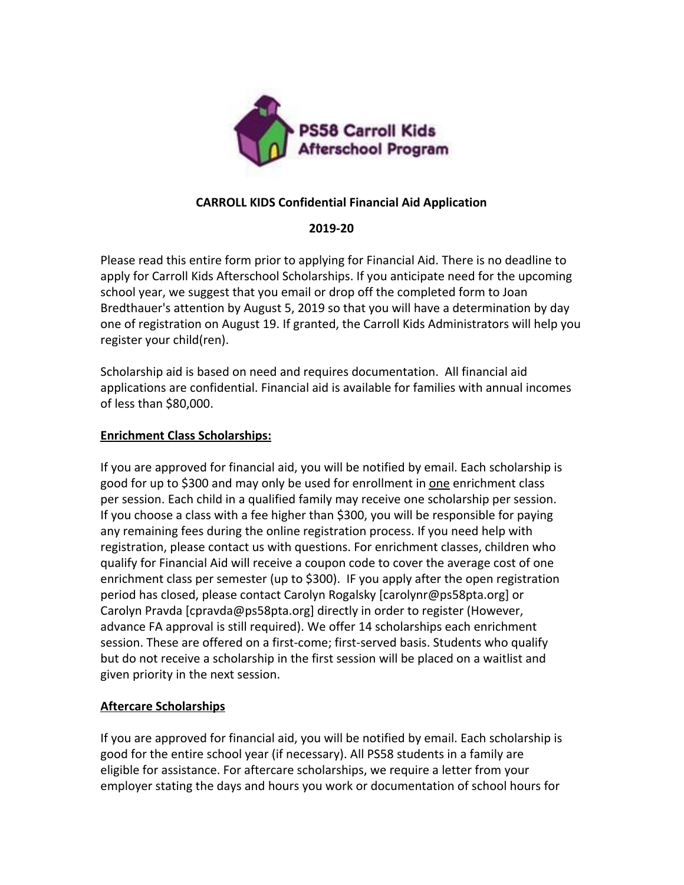

## **CARROLL KIDS Confidential Financial Aid Application**

## **2019-20**

Please read this entire form prior to applying for Financial Aid. There is no deadline to apply for Carroll Kids Afterschool Scholarships. If you anticipate need for the upcoming school year, we suggest that you email or drop off the completed form to Joan Bredthauer's attention by August 5, 2019 so that you will have a determination by day one of registration on August 19. If granted, the Carroll Kids Administrators will help you register your child(ren).

Scholarship aid is based on need and requires documentation. All financial aid applications are confidential. Financial aid is available for families with annual incomes of less than \$80,000.

## **Enrichment Class Scholarships:**

If you are approved for financial aid, you will be notified by email. Each scholarship is good for up to \$300 and may only be used for enrollment in one enrichment class per session. Each child in a qualified family may receive one scholarship per session. If you choose a class with a fee higher than \$300, you will be responsible for paying any remaining fees during the online registration process. If you need help with registration, please contact us with questions. For enrichment classes, children who qualify for Financial Aid will receive a coupon code to cover the average cost of one enrichment class per semester (up to \$300). IF you apply after the open registration period has closed, please contact Carolyn Rogalsky [carolynr@ps58pta.org] or Carolyn Pravda [cpravda@ps58pta.org] directly in order to register (However, advance FA approval is still required). We offer 14 scholarships each enrichment session. These are offered on a first-come; first-served basis. Students who qualify but do not receive a scholarship in the first session will be placed on a waitlist and given priority in the next session.

## **Aftercare Scholarships**

If you are approved for financial aid, you will be notified by email. Each scholarship is good for the entire school year (if necessary). All PS58 students in a family are eligible for assistance. For aftercare scholarships, we require a letter from your employer stating the days and hours you work or documentation of school hours for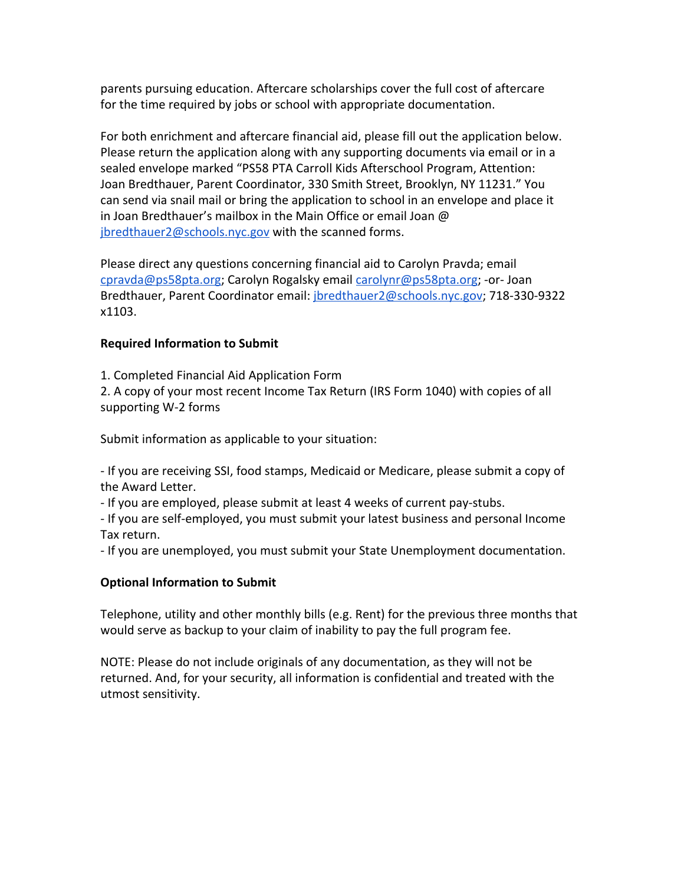parents pursuing education. Aftercare scholarships cover the full cost of aftercare for the time required by jobs or school with appropriate documentation.

For both enrichment and aftercare financial aid, please fill out the application below. Please return the application along with any supporting documents via email or in a sealed envelope marked "PS58 PTA Carroll Kids Afterschool Program, Attention: Joan Bredthauer, Parent Coordinator, 330 Smith Street, Brooklyn, NY 11231." You can send via snail mail or bring the application to school in an envelope and place it in Joan Bredthauer's mailbox in the Main Office or email Joan @ [jbredthauer2@schools.nyc.gov](mailto:jbredthauer2@schools.nyc.gov) with the scanned forms.

Please direct any questions concerning financial aid to Carolyn Pravda; email [cpravda@ps58pta.org;](mailto:cpravda@ps58pta.org) Carolyn Rogalsky email [carolynr@ps58pta.org;](mailto:carolynr@ps58pta.org) -or- Joan Bredthauer, Parent Coordinator email: [jbredthauer2@schools.nyc.gov](mailto:jbredthauer2@schools.nyc.gov); 718-330-9322 x1103.

### **Required Information to Submit**

1. Completed Financial Aid Application Form

2. A copy of your most recent Income Tax Return (IRS Form 1040) with copies of all supporting W-2 forms

Submit information as applicable to your situation:

- If you are receiving SSI, food stamps, Medicaid or Medicare, please submit a copy of the Award Letter.

- If you are employed, please submit at least 4 weeks of current pay-stubs.

- If you are self-employed, you must submit your latest business and personal Income Tax return.

- If you are unemployed, you must submit your State Unemployment documentation.

#### **Optional Information to Submit**

Telephone, utility and other monthly bills (e.g. Rent) for the previous three months that would serve as backup to your claim of inability to pay the full program fee.

NOTE: Please do not include originals of any documentation, as they will not be returned. And, for your security, all information is confidential and treated with the utmost sensitivity.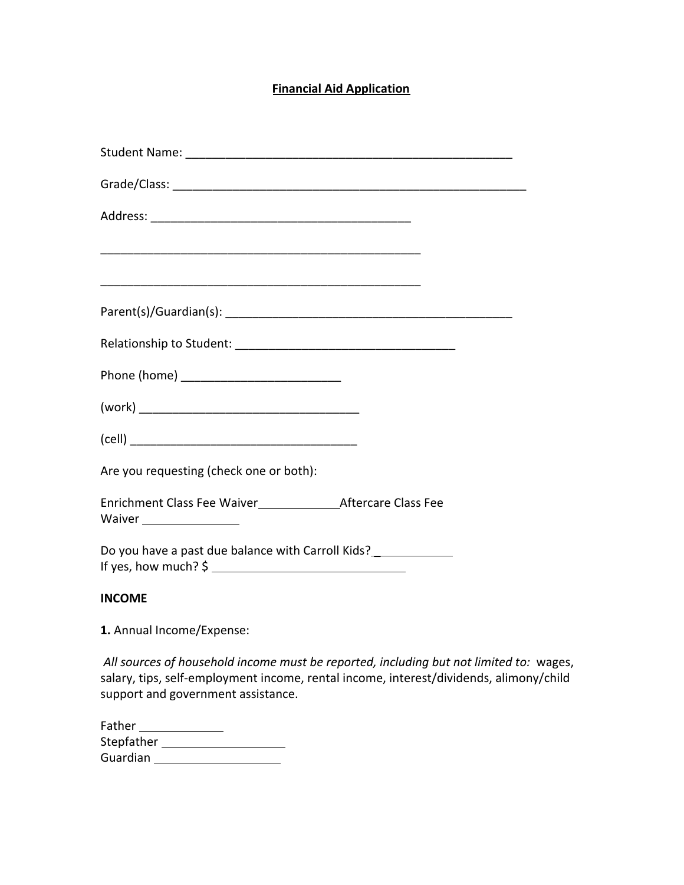# **Financial Aid Application**

| Are you requesting (check one or both):                         |
|-----------------------------------------------------------------|
| Waiver ________________                                         |
| Do you have a past due balance with Carroll Kids?______________ |

## **INCOME**

**1.** Annual Income/Expense:

*All sources of household income must be reported, including but not limited to:* wages, salary, tips, self-employment income, rental income, interest/dividends, alimony/child support and government assistance.

| Father     |  |
|------------|--|
| Stepfather |  |
| Guardian   |  |
|            |  |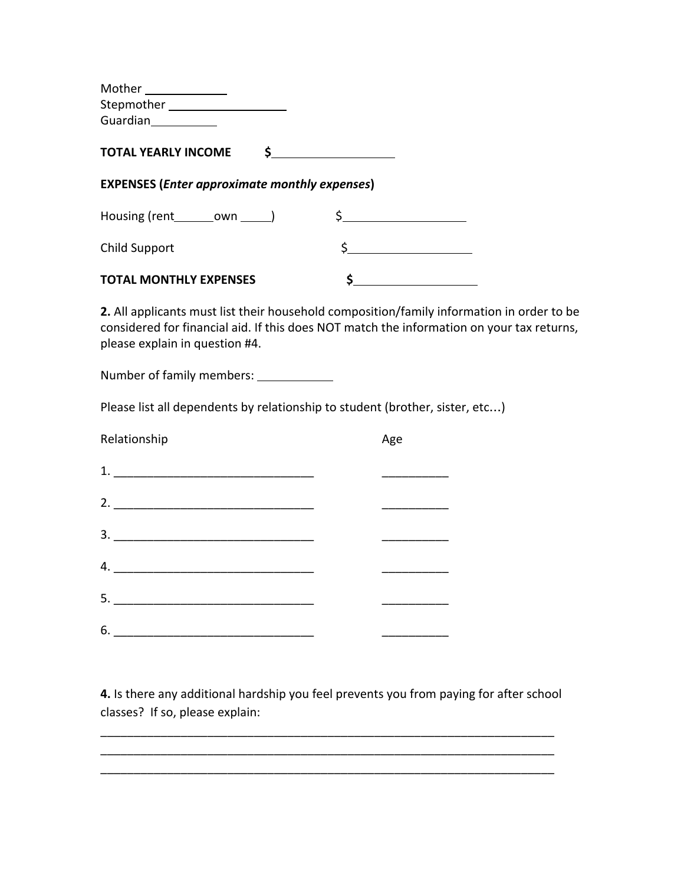| $\begin{picture}(25,20) \put(0,0){\dashbox{0.5}(5,0){ }} \put(15,0){\circle{10}} \put(25,0){\circle{10}} \put(25,0){\circle{10}} \put(25,0){\circle{10}} \put(25,0){\circle{10}} \put(25,0){\circle{10}} \put(25,0){\circle{10}} \put(25,0){\circle{10}} \put(25,0){\circle{10}} \put(25,0){\circle{10}} \put(25,0){\circle{10}} \put(25,0){\circle{10}} \put(25,0){\circle{10}} \put(25,0$ |                                                                                                                                                                                        |  |  |  |
|---------------------------------------------------------------------------------------------------------------------------------------------------------------------------------------------------------------------------------------------------------------------------------------------------------------------------------------------------------------------------------------------|----------------------------------------------------------------------------------------------------------------------------------------------------------------------------------------|--|--|--|
| Stepmother ____________________                                                                                                                                                                                                                                                                                                                                                             |                                                                                                                                                                                        |  |  |  |
|                                                                                                                                                                                                                                                                                                                                                                                             |                                                                                                                                                                                        |  |  |  |
| $\mathsf{S}$<br><b>TOTAL YEARLY INCOME</b>                                                                                                                                                                                                                                                                                                                                                  |                                                                                                                                                                                        |  |  |  |
| <b>EXPENSES (Enter approximate monthly expenses)</b>                                                                                                                                                                                                                                                                                                                                        |                                                                                                                                                                                        |  |  |  |
| Housing (rent ________ own ______)                                                                                                                                                                                                                                                                                                                                                          | $\begin{array}{c} \xi \end{array}$                                                                                                                                                     |  |  |  |
| <b>Child Support</b>                                                                                                                                                                                                                                                                                                                                                                        |                                                                                                                                                                                        |  |  |  |
| <b>TOTAL MONTHLY EXPENSES</b>                                                                                                                                                                                                                                                                                                                                                               |                                                                                                                                                                                        |  |  |  |
| please explain in question #4.                                                                                                                                                                                                                                                                                                                                                              | 2. All applicants must list their household composition/family information in order to be<br>considered for financial aid. If this does NOT match the information on your tax returns, |  |  |  |
| Number of family members: ____________                                                                                                                                                                                                                                                                                                                                                      |                                                                                                                                                                                        |  |  |  |
| Please list all dependents by relationship to student (brother, sister, etc)                                                                                                                                                                                                                                                                                                                |                                                                                                                                                                                        |  |  |  |
| Relationship                                                                                                                                                                                                                                                                                                                                                                                | Age                                                                                                                                                                                    |  |  |  |
|                                                                                                                                                                                                                                                                                                                                                                                             |                                                                                                                                                                                        |  |  |  |
|                                                                                                                                                                                                                                                                                                                                                                                             |                                                                                                                                                                                        |  |  |  |
|                                                                                                                                                                                                                                                                                                                                                                                             |                                                                                                                                                                                        |  |  |  |
|                                                                                                                                                                                                                                                                                                                                                                                             |                                                                                                                                                                                        |  |  |  |
|                                                                                                                                                                                                                                                                                                                                                                                             |                                                                                                                                                                                        |  |  |  |
|                                                                                                                                                                                                                                                                                                                                                                                             |                                                                                                                                                                                        |  |  |  |

**4.** Is there any additional hardship you feel prevents you from paying for after school classes? If so, please explain:

\_\_\_\_\_\_\_\_\_\_\_\_\_\_\_\_\_\_\_\_\_\_\_\_\_\_\_\_\_\_\_\_\_\_\_\_\_\_\_\_\_\_\_\_\_\_\_\_\_\_\_\_\_\_\_\_\_\_\_\_\_\_\_\_\_\_\_\_

\_\_\_\_\_\_\_\_\_\_\_\_\_\_\_\_\_\_\_\_\_\_\_\_\_\_\_\_\_\_\_\_\_\_\_\_\_\_\_\_\_\_\_\_\_\_\_\_\_\_\_\_\_\_\_\_\_\_\_\_\_\_\_\_\_\_\_\_